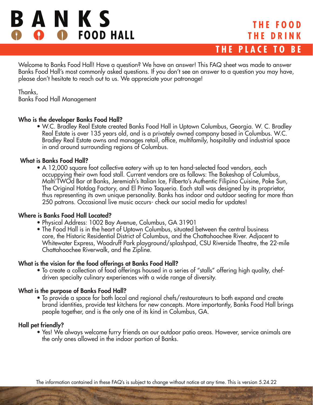# BANKS **O** FOOD HALL

# **THE FOOD THE DRINK THE PLACE TO BE**

Welcome to Banks Food Hall! Have a question? We have an answer! This FAQ sheet was made to answer Banks Food Hall's most commonly asked questions. If you don't see an answer to a question you may have, please don't hesitate to reach out to us. We appreciate your patronage!

Thanks, Banks Food Hall Management

### Who is the developer Banks Food Hall?

• W.C. Bradley Real Estate created Banks Food Hall in Uptown Columbus, Georgia. W. C. Bradley Real Estate is over 135 years old, and is a privately owned company based in Columbus. W.C. Bradley Real Estate owns and manages retail, office, multifamily, hospitality and industrial space in and around surrounding regions of Columbus.

## What is Banks Food Hall?

• A 12,000 square foot collective eatery with up to ten hand-selected food vendors, each occuppying their own food stall. Current vendors are as follows: The Bakeshop of Columbus, Malti'TWOd Bar at Banks, Jeremiah's Italian Ice, Filberto's Authentic Filipino Cuisine, Poke Sun, The Original Hotdog Factory, and El Primo Taqueria. Each stall was designed by its proprietor, thus representing its own unique personality. Banks has indoor and outdoor seating for more than 250 patrons. Occasional live music occurs- check our social media for updates!

## Where is Banks Food Hall Located?

- Physical Address: 1002 Bay Avenue, Columbus, GA 31901
- The Food Hall is in the heart of Uptown Columbus, situated between the central business core, the Historic Residential District of Columbus, and the Chattahoochee River. Adjacent to Whitewater Express, Woodruff Park playground/splashpad, CSU Riverside Theatre, the 22-mile Chattahoochee Riverwalk, and the Zipline.

## What is the vision for the food offerings at Banks Food Hall?

• To create a collection of food offerings housed in a series of "stalls" offering high quality, chefdriven specialty culinary experiences with a wide range of diversity.

## What is the purpose of Banks Food Hall?

• To provide a space for both local and regional chefs/restaurateurs to both expand and create brand identities, provide test kitchens for new concepts. More importantly, Banks Food Hall brings people together, and is the only one of its kind in Columbus, GA.

## Hall pet friendly?

• Yes! We always welcome furry friends on our outdoor patio areas. However, service animals are the only ones allowed in the indoor portion of Banks.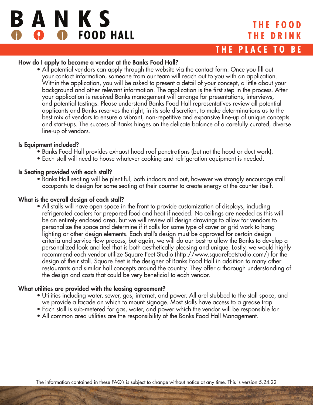

### How do I apply to become a vendor at the Banks Food Hall?

• All potential vendors can apply through the website via the contact form. Once you fill out your contact information, someone from our team will reach out to you with an application. Within the application, you will be asked to present a detail of your concept, a little about your background and other relevant information. The application is the first step in the process. After your application is received Banks management will arrange for presentations, interviews, and potential tastings. Please understand Banks Food Hall representatives review all potential applicants and Banks reserves the right, in its sole discretion, to make determinations as to the best mix of vendors to ensure a vibrant, non-repetitive and expansive line-up of unique concepts and start-ups. The success of Banks hinges on the delicate balance of a carefully curated, diverse line-up of vendors.

#### Is Equipment included?

- Banks Food Hall provides exhaust hood roof penetrations (but not the hood or duct work).
- Each stall will need to house whatever cooking and refrigeration equipment is needed.

### Is Seating provided with each stall?

• Banks Hall seating will be plentiful, both indoors and out, however we strongly encourage stall occupants to design for some seating at their counter to create energy at the counter itself.

### What is the overall design of each stall?

• All stalls will have open space in the front to provide customization of displays, including refrigerated coolers for prepared food and heat if needed. No ceilings are needed as this will be an entirely enclosed area, but we will review all design drawings to allow for vendors to personalize the space and determine if it calls for some type of cover or grid work to hang lighting or other design elements. Each stall's design must be approved for certain design criteria and service flow process, but again, we will do our best to allow the Banks to develop a personalized look and feel that is both aesthetically pleasing and unique. Lastly, we would highly recommend each vendor utilize Square Feet Studio (http://www.squarefeetstudio.com/) for the design of their stall. Square Feet is the designer of Banks Food Hall in addition to many other restaurants and similar hall concepts around the country. They offer a thorough understanding of the design and costs that could be very beneficial to each vendor.

### What utilities are provided with the leasing agreement?

- Utilities including water, sewer, gas, internet, and power. All arel stubbed to the stall space, and we provide a facade on which to mount signage. Most stalls have access to a grease trap.
- Each stall is sub-metered for gas, water, and power which the vendor will be responsible for.
- All common area utilities are the responsibility of the Banks Food Hall Management.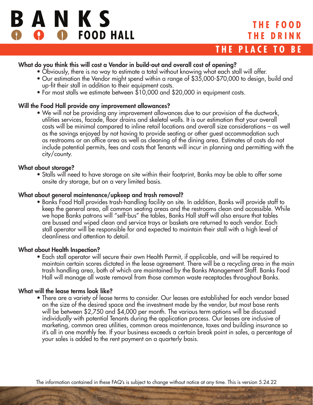

# **THE FOOD THE DRINK**

# **THE PLACE TO BE**

### What do you think this will cost a Vendor in build-out and overall cost of opening?

- Obviously, there is no way to estimate a total without knowing what each stall will offer.
- Our estimation the Vendor might spend within a range of \$35,000-\$70,000 to design, build and up-fit their stall in addition to their equipment costs.
- For most stalls we estimate between \$10,000 and \$20,000 in equipment costs.

### Will the Food Hall provide any improvement allowances?

• We will not be providing any improvement allowances due to our provision of the ductwork, utilities services, facade, floor drains and skeletal walls. It is our estimation that your overall costs will be minimal compared to inline retail locations and overall size considerations – as well as the savings enjoyed by not having to provide seating or other guest accommodation such as restrooms or an office area as well as cleaning of the dining area. Estimates of costs do not include potential permits, fees and costs that Tenants will incur in planning and permitting with the city/county.

#### What about storage?

• Stalls will need to have storage on site within their footprint, Banks may be able to offer some onsite dry storage, but on a very limited basis.

#### What about general maintenance/upkeep and trash removal?

• Banks Food Hall provides trash-handling facility on site. In addition, Banks will provide staff to keep the general area, all common seating areas and the restrooms clean and accessible. While we hope Banks patrons will "self-bus" the tables, Banks Hall staff will also ensure that tables are bussed and wiped clean and service trays or baskets are returned to each vendor. Each stall operator will be responsible for and expected to maintain their stall with a high level of cleanliness and attention to detail.

#### What about Health Inspection?

• Each stall operator will secure their own Health Permit, if applicable, and will be required to maintain certain scores dictated in the lease agreement. There will be a recycling area in the main trash handling area, both of which are maintained by the Banks Management Staff. Banks Food Hall will manage all waste removal from those common waste receptacles throughout Banks.

### What will the lease terms look like?

• There are a variety of lease terms to consider. Our leases are established for each vendor based on the size of the desired space and the investment made by the vendor, but most base rents will be between \$2,750 and \$4,000 per month. The various term options will be discussed individually with potential Tenants during the application process. Our leases are inclusive of marketing, common area utilities, common areas maintenance, taxes and building insurance so it's all in one monthly fee. If your business exceeds a certain break point in sales, a percentage of your sales is added to the rent payment on a quarterly basis.